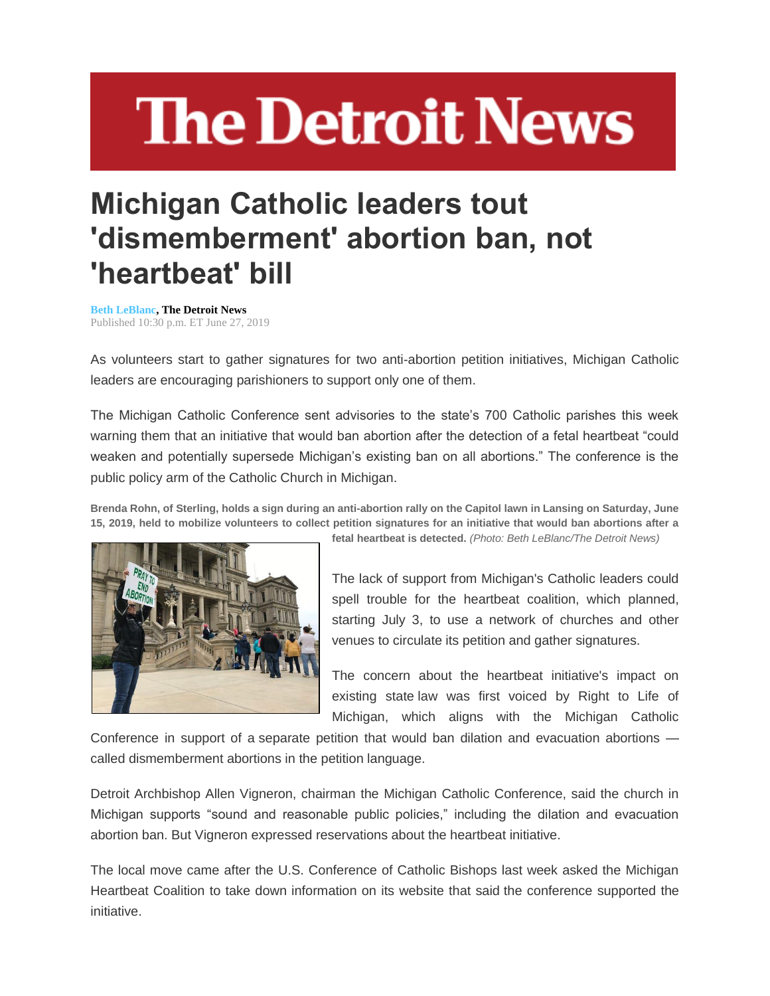# **The Detroit News**

## **Michigan Catholic leaders tout 'dismemberment' abortion ban, not 'heartbeat' bill**

**[Beth LeBlanc,](http://www.detroitnews.com/staff/46443/beth-leblanc/) The Detroit News** Published 10:30 p.m. ET June 27, 2019

As volunteers start to gather signatures for two anti-abortion petition initiatives, Michigan Catholic leaders are encouraging parishioners to support only one of them.

The Michigan Catholic Conference sent advisories to the state's 700 Catholic parishes this week warning them that an initiative that would ban abortion after the detection of a fetal heartbeat "could weaken and potentially supersede Michigan's existing ban on all abortions." The conference is the public policy arm of the Catholic Church in Michigan.

**Brenda Rohn, of Sterling, holds a sign during an anti-abortion rally on the Capitol lawn in Lansing on Saturday, June 15, 2019, held to mobilize volunteers to collect petition signatures for an initiative that would ban abortions after a** 



**fetal heartbeat is detected.** *(Photo: Beth LeBlanc/The Detroit News)*

The lack of support from Michigan's Catholic leaders could spell trouble for the heartbeat coalition, which planned, starting July 3, to use a network of churches and other venues to circulate its petition and gather signatures.

The concern about the heartbeat initiative's impact on existing state law was first voiced by Right to Life of Michigan, which aligns with the Michigan Catholic

Conference in support of a separate petition that would ban dilation and evacuation abortions called dismemberment abortions in the petition language.

Detroit Archbishop Allen Vigneron, chairman the Michigan Catholic Conference, said the church in Michigan supports "sound and reasonable public policies," including the dilation and evacuation abortion ban. But Vigneron expressed reservations about the heartbeat initiative.

The local move came after the U.S. Conference of Catholic Bishops last week asked the Michigan Heartbeat Coalition to take down information on its website that said the conference supported the initiative.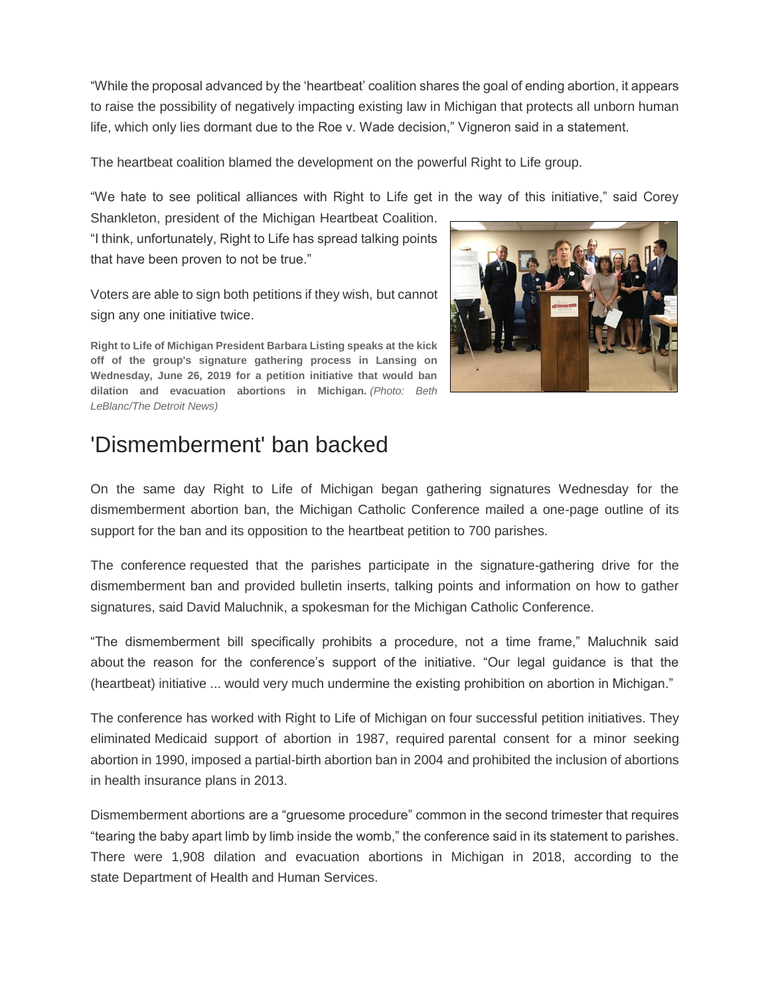"While the proposal advanced by the 'heartbeat' coalition shares the goal of ending abortion, it appears to raise the possibility of negatively impacting existing law in Michigan that protects all unborn human life, which only lies dormant due to the Roe v. Wade decision," Vigneron said in a statement.

The heartbeat coalition blamed the development on the powerful Right to Life group.

"We hate to see political alliances with Right to Life get in the way of this initiative," said Corey

Shankleton, president of the Michigan Heartbeat Coalition. "I think, unfortunately, Right to Life has spread talking points that have been proven to not be true."

Voters are able to sign both petitions if they wish, but cannot sign any one initiative twice.

**Right to Life of Michigan President Barbara Listing speaks at the kick off of the group's signature gathering process in Lansing on Wednesday, June 26, 2019 for a petition initiative that would ban dilation and evacuation abortions in Michigan.** *(Photo: Beth LeBlanc/The Detroit News)*



#### 'Dismemberment' ban backed

On the same day Right to Life of Michigan began gathering signatures Wednesday for the dismemberment abortion ban, the Michigan Catholic Conference mailed a one-page outline of its support for the ban and its opposition to the heartbeat petition to 700 parishes.

The conference requested that the parishes participate in the signature-gathering drive for the dismemberment ban and provided bulletin inserts, talking points and information on how to gather signatures, said David Maluchnik, a spokesman for the Michigan Catholic Conference.

"The dismemberment bill specifically prohibits a procedure, not a time frame," Maluchnik said about the reason for the conference's support of the initiative. "Our legal guidance is that the (heartbeat) initiative ... would very much undermine the existing prohibition on abortion in Michigan."

The conference has worked with Right to Life of Michigan on four successful petition initiatives. They eliminated Medicaid support of abortion in 1987, required parental consent for a minor seeking abortion in 1990, imposed a partial-birth abortion ban in 2004 and prohibited the inclusion of abortions in health insurance plans in 2013.

Dismemberment abortions are a "gruesome procedure" common in the second trimester that requires "tearing the baby apart limb by limb inside the womb," the conference said in its statement to parishes. There were 1,908 dilation and evacuation abortions in Michigan in 2018, according to the state Department of Health and Human Services.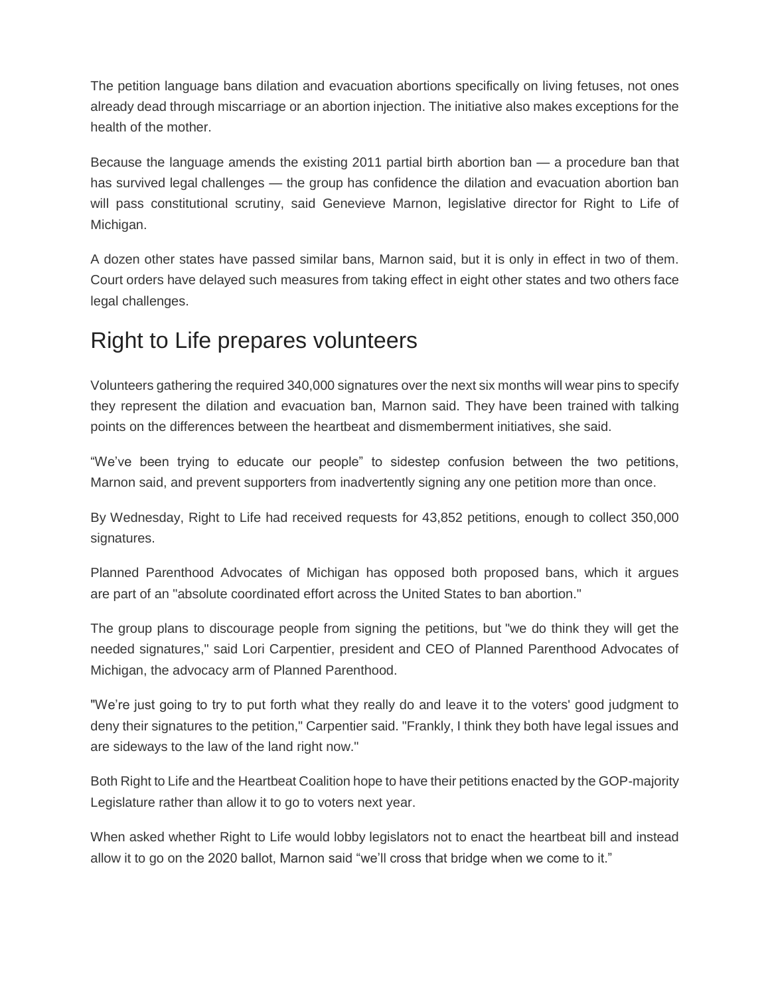The petition language bans dilation and evacuation abortions specifically on living fetuses, not ones already dead through miscarriage or an abortion injection. The initiative also makes exceptions for the health of the mother.

Because the language amends the existing 2011 partial birth abortion ban — a procedure ban that has survived legal challenges — the group has confidence the dilation and evacuation abortion ban will pass constitutional scrutiny, said Genevieve Marnon, legislative director for Right to Life of Michigan.

A dozen other states have passed similar bans, Marnon said, but it is only in effect in two of them. Court orders have delayed such measures from taking effect in eight other states and two others face legal challenges.

#### Right to Life prepares volunteers

Volunteers gathering the required 340,000 signatures over the next six months will wear pins to specify they represent the dilation and evacuation ban, Marnon said. They have been trained with talking points on the differences between the heartbeat and dismemberment initiatives, she said.

"We've been trying to educate our people" to sidestep confusion between the two petitions, Marnon said, and prevent supporters from inadvertently signing any one petition more than once.

By Wednesday, Right to Life had received requests for 43,852 petitions, enough to collect 350,000 signatures.

Planned Parenthood Advocates of Michigan has opposed both proposed bans, which it argues are part of an "absolute coordinated effort across the United States to ban abortion."

The group plans to discourage people from signing the petitions, but "we do think they will get the needed signatures," said Lori Carpentier, president and CEO of Planned Parenthood Advocates of Michigan, the advocacy arm of Planned Parenthood.

"We're just going to try to put forth what they really do and leave it to the voters' good judgment to deny their signatures to the petition," Carpentier said. "Frankly, I think they both have legal issues and are sideways to the law of the land right now."

Both Right to Life and the Heartbeat Coalition hope to have their petitions enacted by the GOP-majority Legislature rather than allow it to go to voters next year.

When asked whether Right to Life would lobby legislators not to enact the heartbeat bill and instead allow it to go on the 2020 ballot, Marnon said "we'll cross that bridge when we come to it."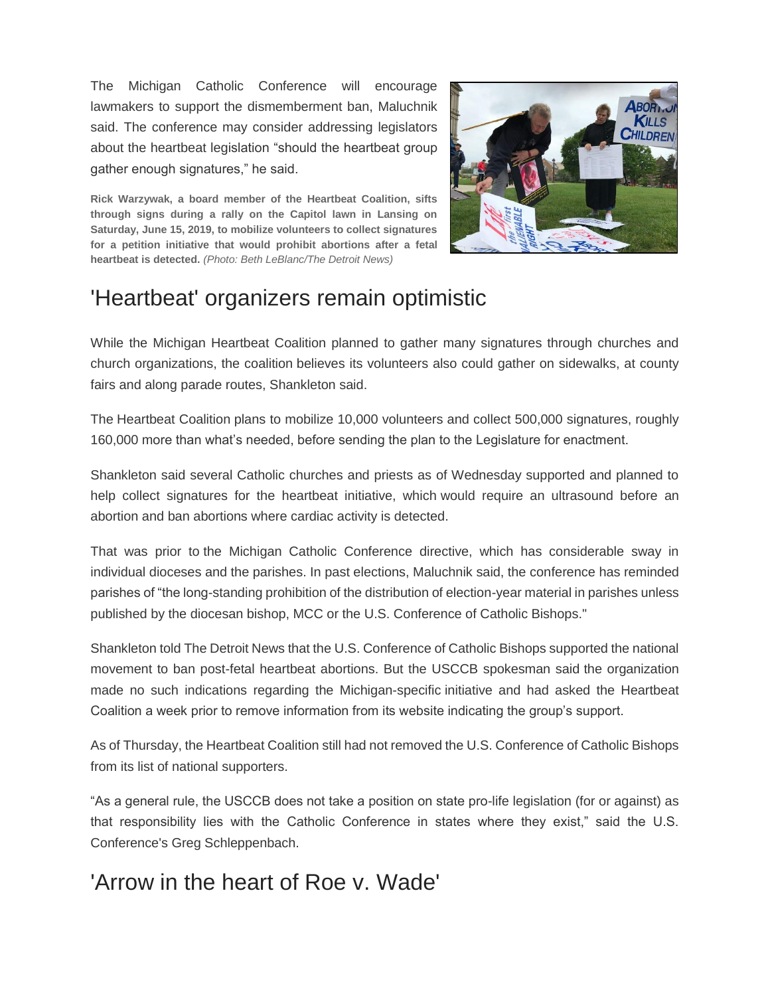The Michigan Catholic Conference will encourage lawmakers to support the dismemberment ban, Maluchnik said. The conference may consider addressing legislators about the heartbeat legislation "should the heartbeat group gather enough signatures," he said.

**Rick Warzywak, a board member of the Heartbeat Coalition, sifts through signs during a rally on the Capitol lawn in Lansing on Saturday, June 15, 2019, to mobilize volunteers to collect signatures for a petition initiative that would prohibit abortions after a fetal heartbeat is detected.** *(Photo: Beth LeBlanc/The Detroit News)*



### 'Heartbeat' organizers remain optimistic

While the Michigan Heartbeat Coalition planned to gather many signatures through churches and church organizations, the coalition believes its volunteers also could gather on sidewalks, at county fairs and along parade routes, Shankleton said.

The Heartbeat Coalition plans to mobilize 10,000 volunteers and collect 500,000 signatures, roughly 160,000 more than what's needed, before sending the plan to the Legislature for enactment.

Shankleton said several Catholic churches and priests as of Wednesday supported and planned to help collect signatures for the heartbeat initiative, which would require an ultrasound before an abortion and ban abortions where cardiac activity is detected.

That was prior to the Michigan Catholic Conference directive, which has considerable sway in individual dioceses and the parishes. In past elections, Maluchnik said, the conference has reminded parishes of "the long-standing prohibition of the distribution of election-year material in parishes unless published by the diocesan bishop, MCC or the U.S. Conference of Catholic Bishops."

Shankleton told The Detroit News that the U.S. Conference of Catholic Bishops supported the national movement to ban post-fetal heartbeat abortions. But the USCCB spokesman said the organization made no such indications regarding the Michigan-specific initiative and had asked the Heartbeat Coalition a week prior to remove information from its website indicating the group's support.

As of Thursday, the Heartbeat Coalition still had not removed the U.S. Conference of Catholic Bishops from its list of national supporters.

"As a general rule, the USCCB does not take a position on state pro-life legislation (for or against) as that responsibility lies with the Catholic Conference in states where they exist," said the U.S. Conference's Greg Schleppenbach.

#### 'Arrow in the heart of Roe v. Wade'